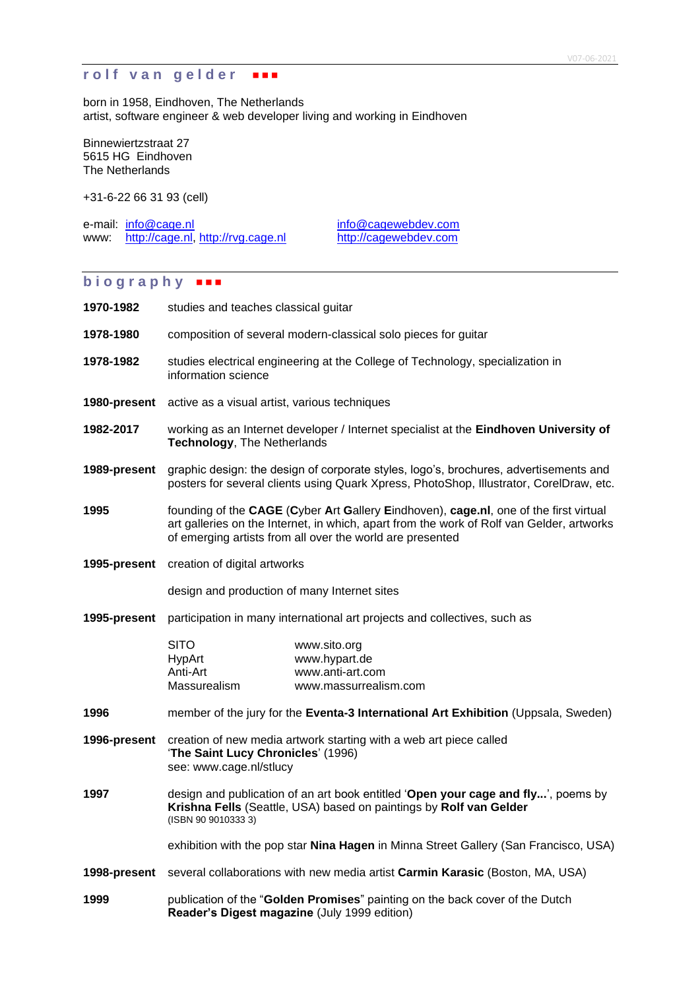# **rolf van gelder FR**

born in 1958, Eindhoven, The Netherlands artist, software engineer & web developer living and working in Eindhoven

Binnewiertzstraat 27 5615 HG Eindhoven The Netherlands

+31-6-22 66 31 93 (cell)

e-mail: [info@cage.nl](mailto:info@cage.nl) [info@cagewebdev.com](mailto:info@cagewebdev.com) www: [http://cage.nl,](http://cage.nl/) [http://rvg.cage.nl](http://rvg.cage.nl/) [http://cagewebdev.com](http://cagewebdev.com/)

### **b i o g r a p h y**

| 1970-1982    | studies and teaches classical guitar                                                                                                                                                                                                            |                                                                                                                                                         |
|--------------|-------------------------------------------------------------------------------------------------------------------------------------------------------------------------------------------------------------------------------------------------|---------------------------------------------------------------------------------------------------------------------------------------------------------|
| 1978-1980    | composition of several modern-classical solo pieces for guitar                                                                                                                                                                                  |                                                                                                                                                         |
| 1978-1982    | information science                                                                                                                                                                                                                             | studies electrical engineering at the College of Technology, specialization in                                                                          |
|              | <b>1980-present</b> active as a visual artist, various techniques                                                                                                                                                                               |                                                                                                                                                         |
| 1982-2017    | working as an Internet developer / Internet specialist at the Eindhoven University of<br>Technology, The Netherlands                                                                                                                            |                                                                                                                                                         |
| 1989-present | graphic design: the design of corporate styles, logo's, brochures, advertisements and<br>posters for several clients using Quark Xpress, PhotoShop, Illustrator, CorelDraw, etc.                                                                |                                                                                                                                                         |
| 1995         | founding of the CAGE (Cyber Art Gallery Eindhoven), cage.nl, one of the first virtual<br>art galleries on the Internet, in which, apart from the work of Rolf van Gelder, artworks<br>of emerging artists from all over the world are presented |                                                                                                                                                         |
|              | 1995-present creation of digital artworks                                                                                                                                                                                                       |                                                                                                                                                         |
|              | design and production of many Internet sites                                                                                                                                                                                                    |                                                                                                                                                         |
| 1995-present |                                                                                                                                                                                                                                                 | participation in many international art projects and collectives, such as                                                                               |
|              | <b>SITO</b><br>HypArt<br>Anti-Art<br>Massurealism                                                                                                                                                                                               | www.sito.org<br>www.hypart.de<br>www.anti-art.com<br>www.massurrealism.com                                                                              |
| 1996         |                                                                                                                                                                                                                                                 | member of the jury for the Eventa-3 International Art Exhibition (Uppsala, Sweden)                                                                      |
| 1996-present | creation of new media artwork starting with a web art piece called<br>'The Saint Lucy Chronicles' (1996)<br>see: www.cage.nl/stlucy                                                                                                             |                                                                                                                                                         |
| 1997         | (ISBN 90 9010333 3)                                                                                                                                                                                                                             | design and publication of an art book entitled 'Open your cage and fly', poems by<br>Krishna Fells (Seattle, USA) based on paintings by Rolf van Gelder |
|              |                                                                                                                                                                                                                                                 | exhibition with the pop star Nina Hagen in Minna Street Gallery (San Francisco, USA)                                                                    |
| 1998-present | several collaborations with new media artist Carmin Karasic (Boston, MA, USA)                                                                                                                                                                   |                                                                                                                                                         |
| 1999         | Reader's Digest magazine (July 1999 edition)                                                                                                                                                                                                    | publication of the "Golden Promises" painting on the back cover of the Dutch                                                                            |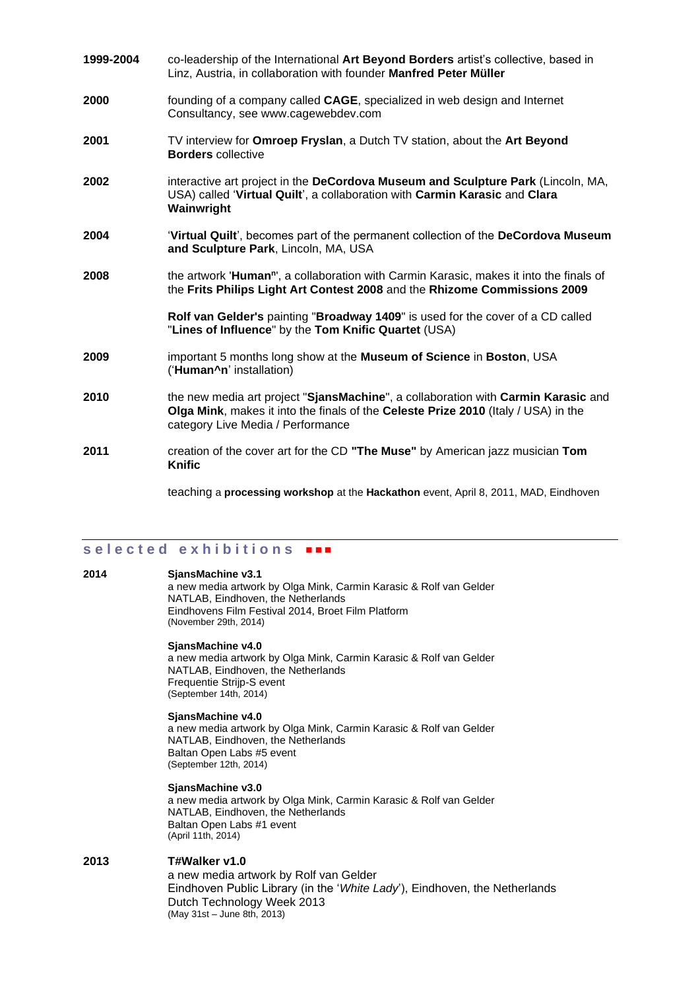| 1999-2004 | co-leadership of the International Art Beyond Borders artist's collective, based in<br>Linz, Austria, in collaboration with founder Manfred Peter Müller                                                     |  |  |
|-----------|--------------------------------------------------------------------------------------------------------------------------------------------------------------------------------------------------------------|--|--|
| 2000      | founding of a company called CAGE, specialized in web design and Internet<br>Consultancy, see www.cagewebdev.com                                                                                             |  |  |
| 2001      | TV interview for Omroep Fryslan, a Dutch TV station, about the Art Beyond<br><b>Borders</b> collective                                                                                                       |  |  |
| 2002      | interactive art project in the DeCordova Museum and Sculpture Park (Lincoln, MA,<br>USA) called 'Virtual Quilt', a collaboration with Carmin Karasic and Clara<br>Wainwright                                 |  |  |
| 2004      | 'Virtual Quilt', becomes part of the permanent collection of the DeCordova Museum<br>and Sculpture Park, Lincoln, MA, USA                                                                                    |  |  |
| 2008      | the artwork 'Human", a collaboration with Carmin Karasic, makes it into the finals of<br>the Frits Philips Light Art Contest 2008 and the Rhizome Commissions 2009                                           |  |  |
|           | Rolf van Gelder's painting "Broadway 1409" is used for the cover of a CD called<br>"Lines of Influence" by the Tom Knific Quartet (USA)                                                                      |  |  |
| 2009      | important 5 months long show at the <b>Museum of Science</b> in <b>Boston</b> , USA<br>('Human^n' installation)                                                                                              |  |  |
| 2010      | the new media art project "SjansMachine", a collaboration with Carmin Karasic and<br>Olga Mink, makes it into the finals of the Celeste Prize 2010 (Italy / USA) in the<br>category Live Media / Performance |  |  |
| 2011      | creation of the cover art for the CD "The Muse" by American jazz musician Tom<br>Knific                                                                                                                      |  |  |
|           | teaching a <b>processing workshop</b> at the <b>Hackathon</b> event, April 8, 2011, MAD, Eindhoven                                                                                                           |  |  |

## s e l e c t e d e x h i b i t i o n s **\*\*\***

#### **2014 SjansMachine v3.1**

a new media artwork by Olga Mink, Carmin Karasic & Rolf van Gelder NATLAB, Eindhoven, the Netherlands Eindhovens Film Festival 2014, Broet Film Platform (November 29th, 2014)

#### **SjansMachine v4.0**

a new media artwork by Olga Mink, Carmin Karasic & Rolf van Gelder NATLAB, Eindhoven, the Netherlands Frequentie Strijp-S event (September 14th, 2014)

#### **SjansMachine v4.0**

a new media artwork by Olga Mink, Carmin Karasic & Rolf van Gelder NATLAB, Eindhoven, the Netherlands Baltan Open Labs #5 event (September 12th, 2014)

#### **SjansMachine v3.0**

a new media artwork by Olga Mink, Carmin Karasic & Rolf van Gelder NATLAB, Eindhoven, the Netherlands Baltan Open Labs #1 event (April 11th, 2014)

#### **2013 T#Walker v1.0** a new media artwork by Rolf van Gelder Eindhoven Public Library (in the '*White Lady*'), Eindhoven, the Netherlands Dutch Technology Week 2013 (May 31st – June 8th, 2013)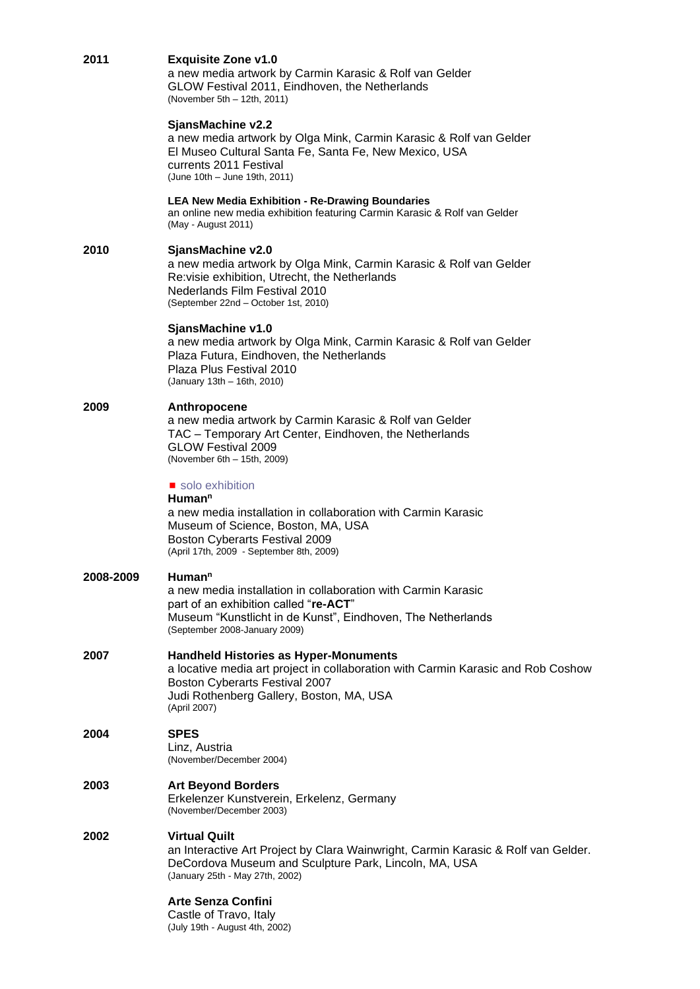| 2011      | <b>Exquisite Zone v1.0</b><br>a new media artwork by Carmin Karasic & Rolf van Gelder<br>GLOW Festival 2011, Eindhoven, the Netherlands<br>(November 5th - 12th, 2011)                                                                |  |
|-----------|---------------------------------------------------------------------------------------------------------------------------------------------------------------------------------------------------------------------------------------|--|
|           | SjansMachine v2.2<br>a new media artwork by Olga Mink, Carmin Karasic & Rolf van Gelder<br>El Museo Cultural Santa Fe, Santa Fe, New Mexico, USA<br>currents 2011 Festival<br>(June 10th - June 19th, 2011)                           |  |
|           | <b>LEA New Media Exhibition - Re-Drawing Boundaries</b><br>an online new media exhibition featuring Carmin Karasic & Rolf van Gelder<br>(May - August 2011)                                                                           |  |
| 2010      | SjansMachine v2.0<br>a new media artwork by Olga Mink, Carmin Karasic & Rolf van Gelder<br>Re: visie exhibition, Utrecht, the Netherlands<br>Nederlands Film Festival 2010<br>(September 22nd - October 1st, 2010)                    |  |
|           | SjansMachine v1.0<br>a new media artwork by Olga Mink, Carmin Karasic & Rolf van Gelder<br>Plaza Futura, Eindhoven, the Netherlands<br>Plaza Plus Festival 2010<br>(January 13th - 16th, 2010)                                        |  |
| 2009      | Anthropocene<br>a new media artwork by Carmin Karasic & Rolf van Gelder<br>TAC - Temporary Art Center, Eindhoven, the Netherlands<br><b>GLOW Festival 2009</b><br>(November 6th - 15th, 2009)                                         |  |
|           | solo exhibition<br>Human <sup>n</sup><br>a new media installation in collaboration with Carmin Karasic<br>Museum of Science, Boston, MA, USA<br>Boston Cyberarts Festival 2009<br>(April 17th, 2009 - September 8th, 2009)            |  |
| 2008-2009 | Human <sup>n</sup><br>a new media installation in collaboration with Carmin Karasic<br>part of an exhibition called "re-ACT"<br>Museum "Kunstlicht in de Kunst", Eindhoven, The Netherlands<br>(September 2008-January 2009)          |  |
| 2007      | <b>Handheld Histories as Hyper-Monuments</b><br>a locative media art project in collaboration with Carmin Karasic and Rob Coshow<br><b>Boston Cyberarts Festival 2007</b><br>Judi Rothenberg Gallery, Boston, MA, USA<br>(April 2007) |  |
| 2004      | <b>SPES</b><br>Linz, Austria<br>(November/December 2004)                                                                                                                                                                              |  |
| 2003      | <b>Art Beyond Borders</b><br>Erkelenzer Kunstverein, Erkelenz, Germany<br>(November/December 2003)                                                                                                                                    |  |
| 2002      | <b>Virtual Quilt</b><br>an Interactive Art Project by Clara Wainwright, Carmin Karasic & Rolf van Gelder.<br>DeCordova Museum and Sculpture Park, Lincoln, MA, USA<br>(January 25th - May 27th, 2002)                                 |  |
|           | <b>Arte Senza Confini</b><br>Castle of Travo, Italy<br>(July 19th - August 4th, 2002)                                                                                                                                                 |  |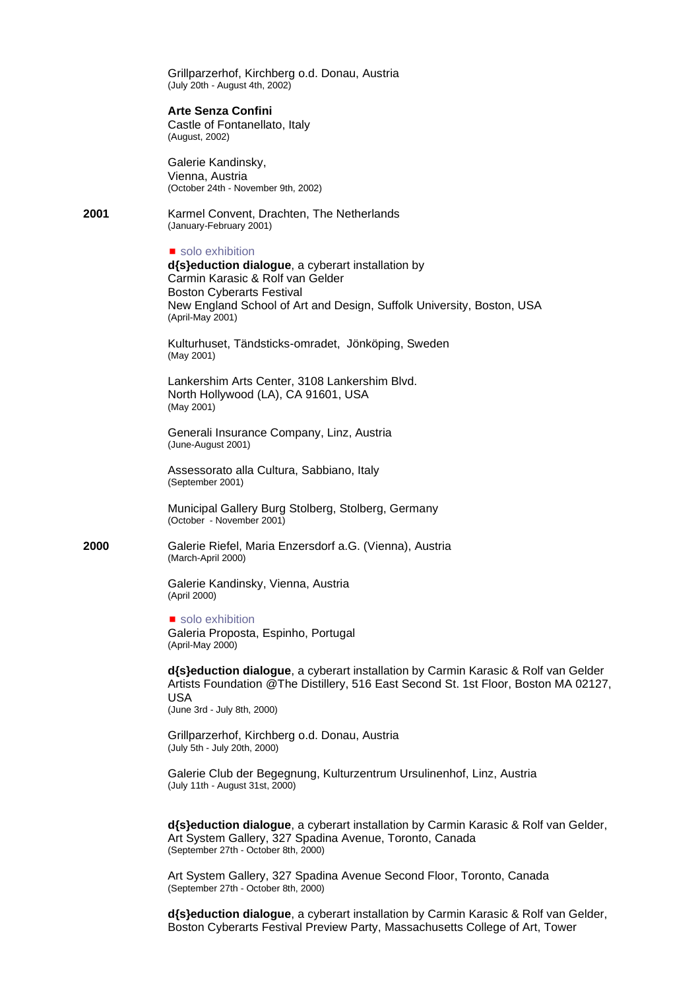Grillparzerhof, Kirchberg o.d. Donau, Austria (July 20th - August 4th, 2002)

#### **Arte Senza Confini**

Castle of Fontanellato, Italy (August, 2002)

Galerie Kandinsky, Vienna, Austria (October 24th - November 9th, 2002)

**2001** Karmel Convent, Drachten, The Netherlands (January-February 2001)

solo exhibition

**d{s}eduction dialogue**, a cyberart installation by Carmin Karasic & Rolf van Gelder Boston Cyberarts Festival New England School of Art and Design, Suffolk University, Boston, USA (April-May 2001)

Kulturhuset, Tändsticks-omradet, Jönköping, Sweden (May 2001)

Lankershim Arts Center, 3108 Lankershim Blvd. North Hollywood (LA), CA 91601, USA (May 2001)

Generali Insurance Company, Linz, Austria (June-August 2001)

Assessorato alla Cultura, Sabbiano, Italy (September 2001)

Municipal Gallery Burg Stolberg, Stolberg, Germany (October - November 2001)

**2000** Galerie Riefel, Maria Enzersdorf a.G. (Vienna), Austria (March-April 2000)

> Galerie Kandinsky, Vienna, Austria (April 2000)

solo exhibition Galeria Proposta, Espinho, Portugal (April-May 2000)

**d{s}eduction dialogue**, a cyberart installation by Carmin Karasic & Rolf van Gelder Artists Foundation @The Distillery, 516 East Second St. 1st Floor, Boston MA 02127, USA

(June 3rd - July 8th, 2000)

Grillparzerhof, Kirchberg o.d. Donau, Austria (July 5th - July 20th, 2000)

Galerie Club der Begegnung, Kulturzentrum Ursulinenhof, Linz, Austria (July 11th - August 31st, 2000)

**d{s}eduction dialogue**, a cyberart installation by Carmin Karasic & Rolf van Gelder, Art System Gallery, 327 Spadina Avenue, Toronto, Canada (September 27th - October 8th, 2000)

Art System Gallery, 327 Spadina Avenue Second Floor, Toronto, Canada (September 27th - October 8th, 2000)

**d{s}eduction dialogue**, a cyberart installation by Carmin Karasic & Rolf van Gelder, Boston Cyberarts Festival Preview Party, Massachusetts College of Art, Tower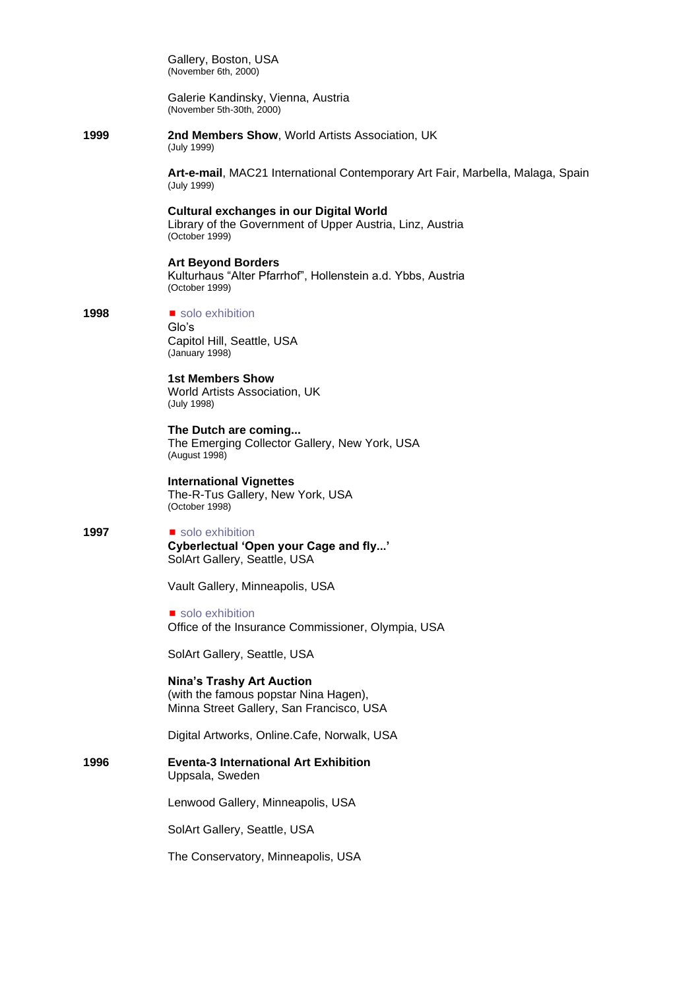Gallery, Boston, USA (November 6th, 2000)

Galerie Kandinsky, Vienna, Austria (November 5th-30th, 2000)

**1999 2nd Members Show**, World Artists Association, UK (July 1999)

> **Art-e-mail**, MAC21 International Contemporary Art Fair, Marbella, Malaga, Spain (July 1999)

**Cultural exchanges in our Digital World** Library of the Government of Upper Austria, Linz, Austria (October 1999)

**Art Beyond Borders** Kulturhaus "Alter Pfarrhof", Hollenstein a.d. Ybbs, Austria (October 1999)

**1998 ■** solo exhibition

Glo's Capitol Hill, Seattle, USA (January 1998)

**1st Members Show** World Artists Association, UK (July 1998)

**The Dutch are coming...** The Emerging Collector Gallery, New York, USA (August 1998)

**International Vignettes** The-R-Tus Gallery, New York, USA (October 1998)

**1997 ■** solo exhibition **Cyberlectual 'Open your Cage and fly...'** SolArt Gallery, Seattle, USA

Vault Gallery, Minneapolis, USA

solo exhibition Office of the Insurance Commissioner, Olympia, USA

SolArt Gallery, Seattle, USA

**Nina's Trashy Art Auction** (with the famous popstar Nina Hagen), Minna Street Gallery, San Francisco, USA

Digital Artworks, Online.Cafe, Norwalk, USA

**1996 Eventa-3 International Art Exhibition** Uppsala, Sweden

Lenwood Gallery, Minneapolis, USA

SolArt Gallery, Seattle, USA

The Conservatory, Minneapolis, USA